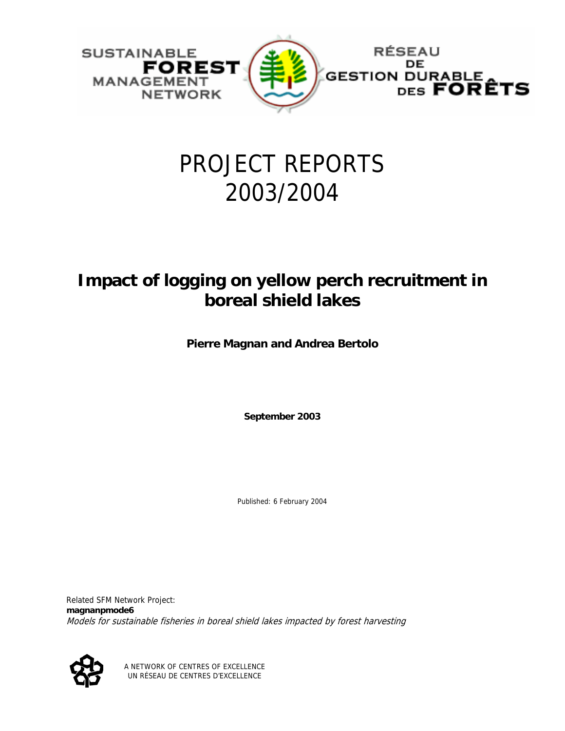

# PROJECT REPORTS 2003/2004

### **Impact of logging on yellow perch recruitment in boreal shield lakes**

**Pierre Magnan and Andrea Bertolo**

**September 2003** 

Published: 6 February 2004

Related SFM Network Project: **magnanpmode6** Models for sustainable fisheries in boreal shield lakes impacted by forest harvesting



A NETWORK OF CENTRES OF EXCELLENCE UN RÉSEAU DE CENTRES D'EXCELLENCE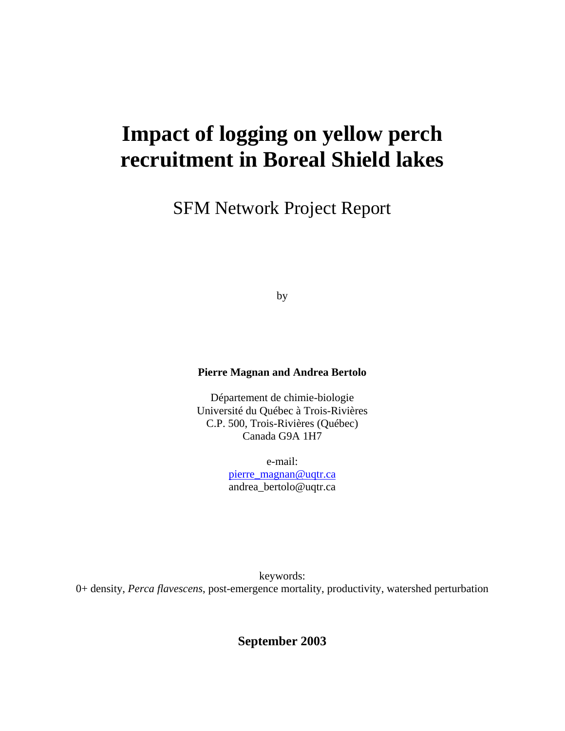## **Impact of logging on yellow perch recruitment in Boreal Shield lakes**

SFM Network Project Report

by

#### **Pierre Magnan and Andrea Bertolo**

Département de chimie-biologie Université du Québec à Trois-Rivières C.P. 500, Trois-Rivières (Québec) Canada G9A 1H7

> e-mail: [pierre\\_magnan@uqtr.ca](mailto:pierre_magnan@uqtr.ca) andrea\_bertolo@uqtr.ca

keywords: 0+ density, *Perca flavescens*, post-emergence mortality, productivity, watershed perturbation

**September 2003**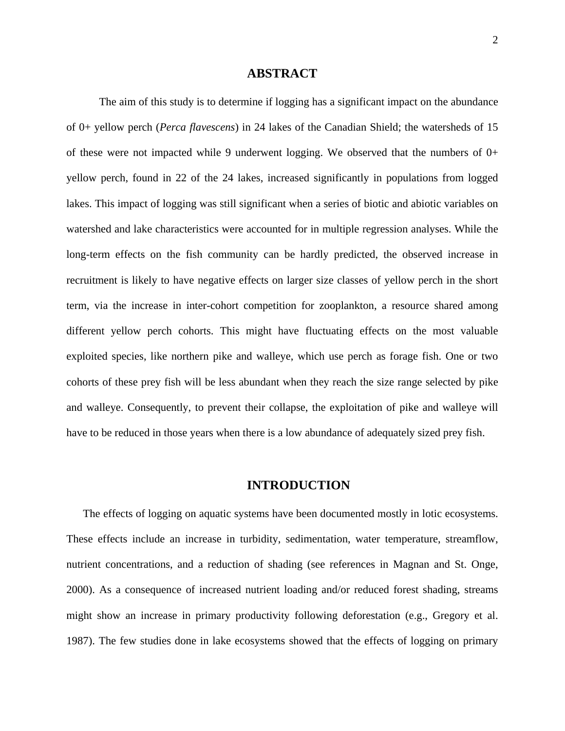#### **ABSTRACT**

The aim of this study is to determine if logging has a significant impact on the abundance of 0+ yellow perch (*Perca flavescens*) in 24 lakes of the Canadian Shield; the watersheds of 15 of these were not impacted while 9 underwent logging. We observed that the numbers of  $0+$ yellow perch, found in 22 of the 24 lakes, increased significantly in populations from logged lakes. This impact of logging was still significant when a series of biotic and abiotic variables on watershed and lake characteristics were accounted for in multiple regression analyses. While the long-term effects on the fish community can be hardly predicted, the observed increase in recruitment is likely to have negative effects on larger size classes of yellow perch in the short term, via the increase in inter-cohort competition for zooplankton, a resource shared among different yellow perch cohorts. This might have fluctuating effects on the most valuable exploited species, like northern pike and walleye, which use perch as forage fish. One or two cohorts of these prey fish will be less abundant when they reach the size range selected by pike and walleye. Consequently, to prevent their collapse, the exploitation of pike and walleye will have to be reduced in those years when there is a low abundance of adequately sized prey fish.

#### **INTRODUCTION**

The effects of logging on aquatic systems have been documented mostly in lotic ecosystems. These effects include an increase in turbidity, sedimentation, water temperature, streamflow, nutrient concentrations, and a reduction of shading (see references in Magnan and St. Onge, 2000). As a consequence of increased nutrient loading and/or reduced forest shading, streams might show an increase in primary productivity following deforestation (e.g., Gregory et al. 1987). The few studies done in lake ecosystems showed that the effects of logging on primary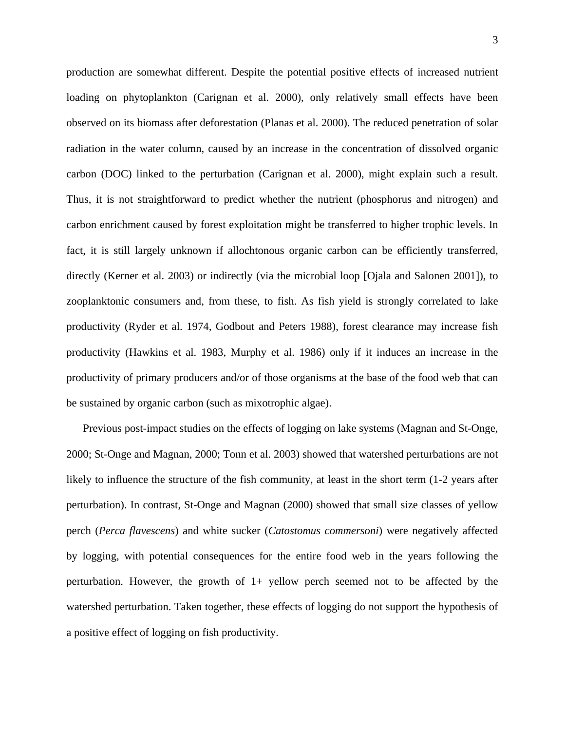production are somewhat different. Despite the potential positive effects of increased nutrient loading on phytoplankton (Carignan et al. 2000), only relatively small effects have been observed on its biomass after deforestation (Planas et al. 2000). The reduced penetration of solar radiation in the water column, caused by an increase in the concentration of dissolved organic carbon (DOC) linked to the perturbation (Carignan et al. 2000), might explain such a result. Thus, it is not straightforward to predict whether the nutrient (phosphorus and nitrogen) and carbon enrichment caused by forest exploitation might be transferred to higher trophic levels. In fact, it is still largely unknown if allochtonous organic carbon can be efficiently transferred, directly (Kerner et al. 2003) or indirectly (via the microbial loop [Ojala and Salonen 2001]), to zooplanktonic consumers and, from these, to fish. As fish yield is strongly correlated to lake productivity (Ryder et al. 1974, Godbout and Peters 1988), forest clearance may increase fish productivity (Hawkins et al. 1983, Murphy et al. 1986) only if it induces an increase in the productivity of primary producers and/or of those organisms at the base of the food web that can be sustained by organic carbon (such as mixotrophic algae).

Previous post-impact studies on the effects of logging on lake systems (Magnan and St-Onge, 2000; St-Onge and Magnan, 2000; Tonn et al. 2003) showed that watershed perturbations are not likely to influence the structure of the fish community, at least in the short term (1-2 years after perturbation). In contrast, St-Onge and Magnan (2000) showed that small size classes of yellow perch (*Perca flavescens*) and white sucker (*Catostomus commersoni*) were negatively affected by logging, with potential consequences for the entire food web in the years following the perturbation. However, the growth of 1+ yellow perch seemed not to be affected by the watershed perturbation. Taken together, these effects of logging do not support the hypothesis of a positive effect of logging on fish productivity.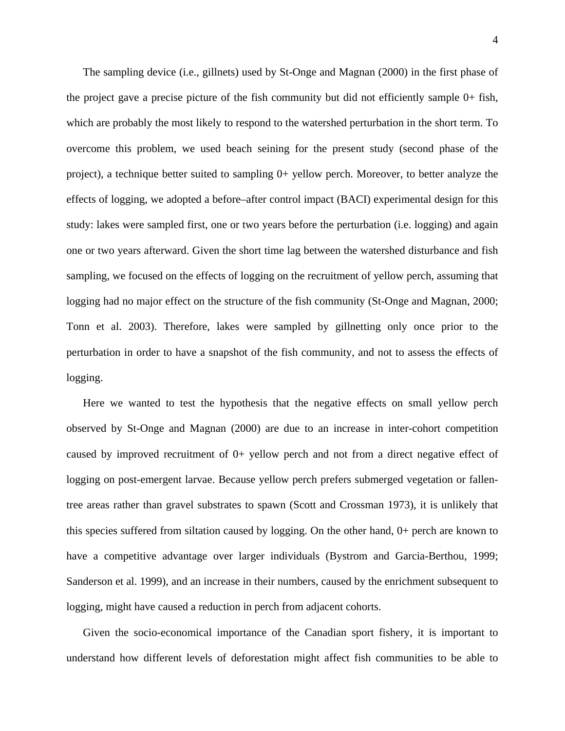The sampling device (i.e., gillnets) used by St-Onge and Magnan (2000) in the first phase of the project gave a precise picture of the fish community but did not efficiently sample 0+ fish, which are probably the most likely to respond to the watershed perturbation in the short term. To overcome this problem, we used beach seining for the present study (second phase of the project), a technique better suited to sampling 0+ yellow perch. Moreover, to better analyze the effects of logging, we adopted a before–after control impact (BACI) experimental design for this study: lakes were sampled first, one or two years before the perturbation (i.e. logging) and again one or two years afterward. Given the short time lag between the watershed disturbance and fish sampling, we focused on the effects of logging on the recruitment of yellow perch, assuming that logging had no major effect on the structure of the fish community (St-Onge and Magnan, 2000; Tonn et al. 2003). Therefore, lakes were sampled by gillnetting only once prior to the perturbation in order to have a snapshot of the fish community, and not to assess the effects of logging.

Here we wanted to test the hypothesis that the negative effects on small yellow perch observed by St-Onge and Magnan (2000) are due to an increase in inter-cohort competition caused by improved recruitment of 0+ yellow perch and not from a direct negative effect of logging on post-emergent larvae. Because yellow perch prefers submerged vegetation or fallentree areas rather than gravel substrates to spawn (Scott and Crossman 1973), it is unlikely that this species suffered from siltation caused by logging. On the other hand, 0+ perch are known to have a competitive advantage over larger individuals (Bystrom and Garcia-Berthou, 1999; Sanderson et al. 1999), and an increase in their numbers, caused by the enrichment subsequent to logging, might have caused a reduction in perch from adjacent cohorts.

Given the socio-economical importance of the Canadian sport fishery, it is important to understand how different levels of deforestation might affect fish communities to be able to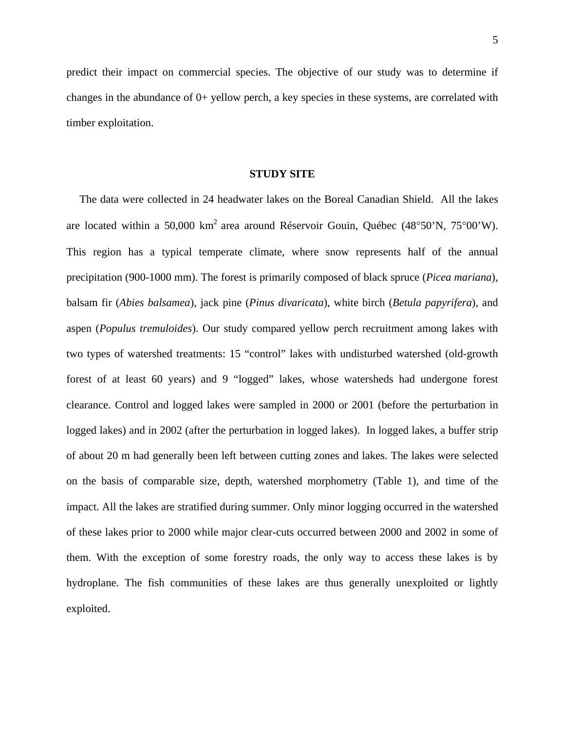predict their impact on commercial species. The objective of our study was to determine if changes in the abundance of 0+ yellow perch, a key species in these systems, are correlated with timber exploitation.

#### **STUDY SITE**

The data were collected in 24 headwater lakes on the Boreal Canadian Shield. All the lakes are located within a 50,000 km2 area around Réservoir Gouin, Québec (48°50'N, 75°00'W). This region has a typical temperate climate, where snow represents half of the annual precipitation (900-1000 mm). The forest is primarily composed of black spruce (*Picea mariana*), balsam fir (*Abies balsamea*), jack pine (*Pinus divaricata*), white birch (*Betula papyrifera*), and aspen (*Populus tremuloides*). Our study compared yellow perch recruitment among lakes with two types of watershed treatments: 15 "control" lakes with undisturbed watershed (old-growth forest of at least 60 years) and 9 "logged" lakes, whose watersheds had undergone forest clearance. Control and logged lakes were sampled in 2000 or 2001 (before the perturbation in logged lakes) and in 2002 (after the perturbation in logged lakes). In logged lakes, a buffer strip of about 20 m had generally been left between cutting zones and lakes. The lakes were selected on the basis of comparable size, depth, watershed morphometry (Table 1), and time of the impact. All the lakes are stratified during summer. Only minor logging occurred in the watershed of these lakes prior to 2000 while major clear-cuts occurred between 2000 and 2002 in some of them. With the exception of some forestry roads, the only way to access these lakes is by hydroplane. The fish communities of these lakes are thus generally unexploited or lightly exploited.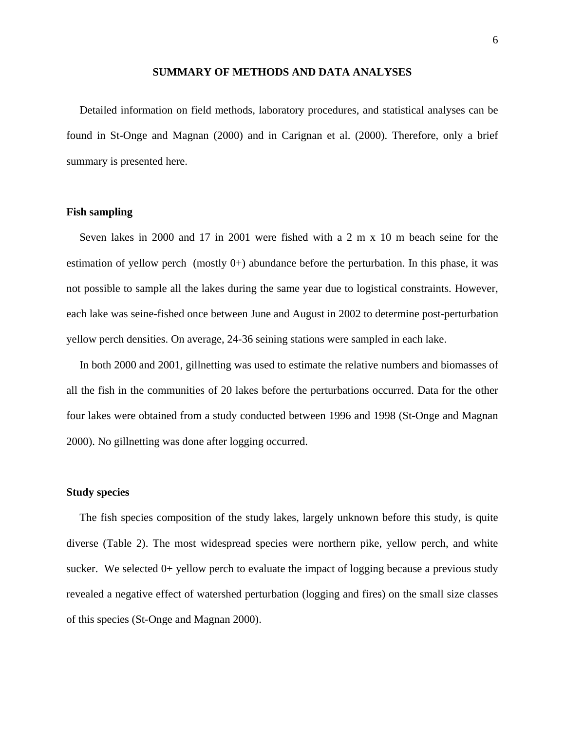#### **SUMMARY OF METHODS AND DATA ANALYSES**

Detailed information on field methods, laboratory procedures, and statistical analyses can be found in St-Onge and Magnan (2000) and in Carignan et al. (2000). Therefore, only a brief summary is presented here.

#### **Fish sampling**

Seven lakes in 2000 and 17 in 2001 were fished with a 2 m x 10 m beach seine for the estimation of yellow perch (mostly  $0+$ ) abundance before the perturbation. In this phase, it was not possible to sample all the lakes during the same year due to logistical constraints. However, each lake was seine-fished once between June and August in 2002 to determine post-perturbation yellow perch densities. On average, 24-36 seining stations were sampled in each lake.

In both 2000 and 2001, gillnetting was used to estimate the relative numbers and biomasses of all the fish in the communities of 20 lakes before the perturbations occurred. Data for the other four lakes were obtained from a study conducted between 1996 and 1998 (St-Onge and Magnan 2000). No gillnetting was done after logging occurred.

#### **Study species**

The fish species composition of the study lakes, largely unknown before this study, is quite diverse (Table 2). The most widespread species were northern pike, yellow perch, and white sucker. We selected  $0+$  yellow perch to evaluate the impact of logging because a previous study revealed a negative effect of watershed perturbation (logging and fires) on the small size classes of this species (St-Onge and Magnan 2000).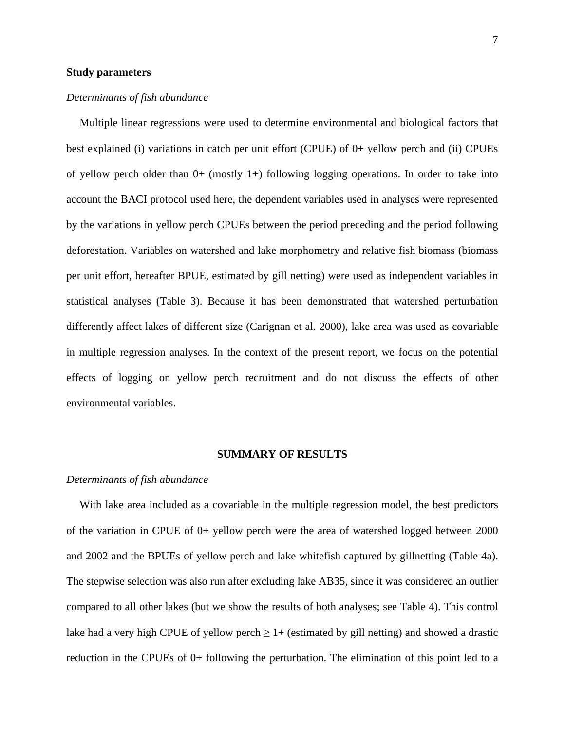#### **Study parameters**

#### *Determinants of fish abundance*

Multiple linear regressions were used to determine environmental and biological factors that best explained (i) variations in catch per unit effort (CPUE) of 0+ yellow perch and (ii) CPUEs of yellow perch older than  $0+$  (mostly 1+) following logging operations. In order to take into account the BACI protocol used here, the dependent variables used in analyses were represented by the variations in yellow perch CPUEs between the period preceding and the period following deforestation. Variables on watershed and lake morphometry and relative fish biomass (biomass per unit effort, hereafter BPUE, estimated by gill netting) were used as independent variables in statistical analyses (Table 3). Because it has been demonstrated that watershed perturbation differently affect lakes of different size (Carignan et al. 2000), lake area was used as covariable in multiple regression analyses. In the context of the present report, we focus on the potential effects of logging on yellow perch recruitment and do not discuss the effects of other environmental variables.

#### **SUMMARY OF RESULTS**

#### *Determinants of fish abundance*

With lake area included as a covariable in the multiple regression model, the best predictors of the variation in CPUE of 0+ yellow perch were the area of watershed logged between 2000 and 2002 and the BPUEs of yellow perch and lake whitefish captured by gillnetting (Table 4a). The stepwise selection was also run after excluding lake AB35, since it was considered an outlier compared to all other lakes (but we show the results of both analyses; see Table 4). This control lake had a very high CPUE of yellow perch  $\geq 1+$  (estimated by gill netting) and showed a drastic reduction in the CPUEs of 0+ following the perturbation. The elimination of this point led to a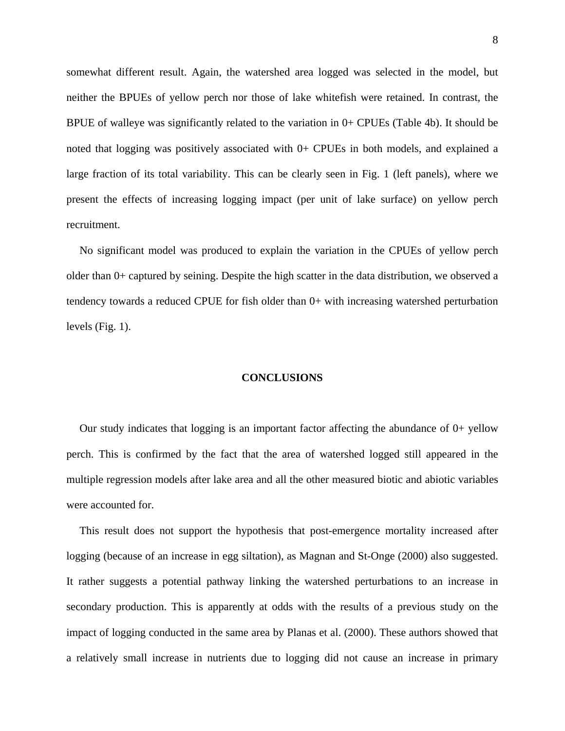somewhat different result. Again, the watershed area logged was selected in the model, but neither the BPUEs of yellow perch nor those of lake whitefish were retained. In contrast, the BPUE of walleye was significantly related to the variation in 0+ CPUEs (Table 4b). It should be noted that logging was positively associated with  $0+$  CPUEs in both models, and explained a large fraction of its total variability. This can be clearly seen in Fig. 1 (left panels), where we present the effects of increasing logging impact (per unit of lake surface) on yellow perch recruitment.

No significant model was produced to explain the variation in the CPUEs of yellow perch older than 0+ captured by seining. Despite the high scatter in the data distribution, we observed a tendency towards a reduced CPUE for fish older than 0+ with increasing watershed perturbation levels (Fig. 1).

#### **CONCLUSIONS**

Our study indicates that logging is an important factor affecting the abundance of  $0+$  yellow perch. This is confirmed by the fact that the area of watershed logged still appeared in the multiple regression models after lake area and all the other measured biotic and abiotic variables were accounted for.

This result does not support the hypothesis that post-emergence mortality increased after logging (because of an increase in egg siltation), as Magnan and St-Onge (2000) also suggested. It rather suggests a potential pathway linking the watershed perturbations to an increase in secondary production. This is apparently at odds with the results of a previous study on the impact of logging conducted in the same area by Planas et al. (2000). These authors showed that a relatively small increase in nutrients due to logging did not cause an increase in primary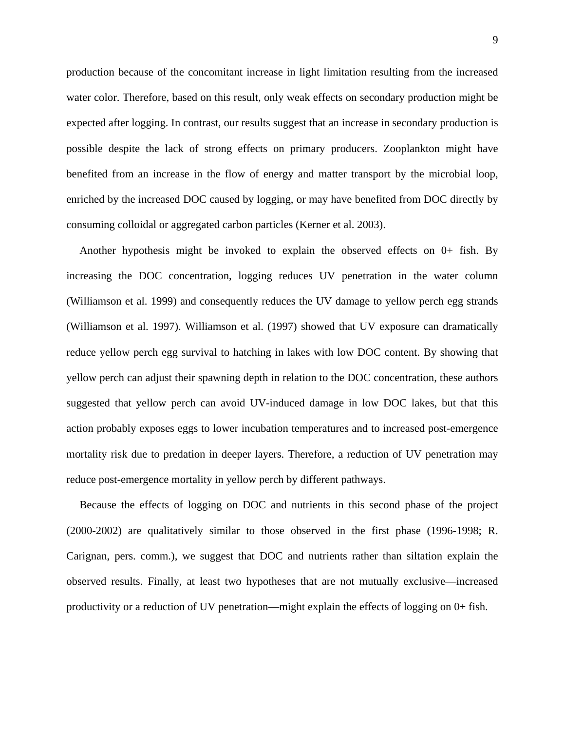production because of the concomitant increase in light limitation resulting from the increased water color. Therefore, based on this result, only weak effects on secondary production might be expected after logging. In contrast, our results suggest that an increase in secondary production is possible despite the lack of strong effects on primary producers. Zooplankton might have benefited from an increase in the flow of energy and matter transport by the microbial loop, enriched by the increased DOC caused by logging, or may have benefited from DOC directly by consuming colloidal or aggregated carbon particles (Kerner et al. 2003).

Another hypothesis might be invoked to explain the observed effects on 0+ fish. By increasing the DOC concentration, logging reduces UV penetration in the water column (Williamson et al. 1999) and consequently reduces the UV damage to yellow perch egg strands (Williamson et al. 1997). Williamson et al. (1997) showed that UV exposure can dramatically reduce yellow perch egg survival to hatching in lakes with low DOC content. By showing that yellow perch can adjust their spawning depth in relation to the DOC concentration, these authors suggested that yellow perch can avoid UV-induced damage in low DOC lakes, but that this action probably exposes eggs to lower incubation temperatures and to increased post-emergence mortality risk due to predation in deeper layers. Therefore, a reduction of UV penetration may reduce post-emergence mortality in yellow perch by different pathways.

Because the effects of logging on DOC and nutrients in this second phase of the project (2000-2002) are qualitatively similar to those observed in the first phase (1996-1998; R. Carignan, pers. comm.), we suggest that DOC and nutrients rather than siltation explain the observed results. Finally, at least two hypotheses that are not mutually exclusive—increased productivity or a reduction of UV penetration—might explain the effects of logging on 0+ fish.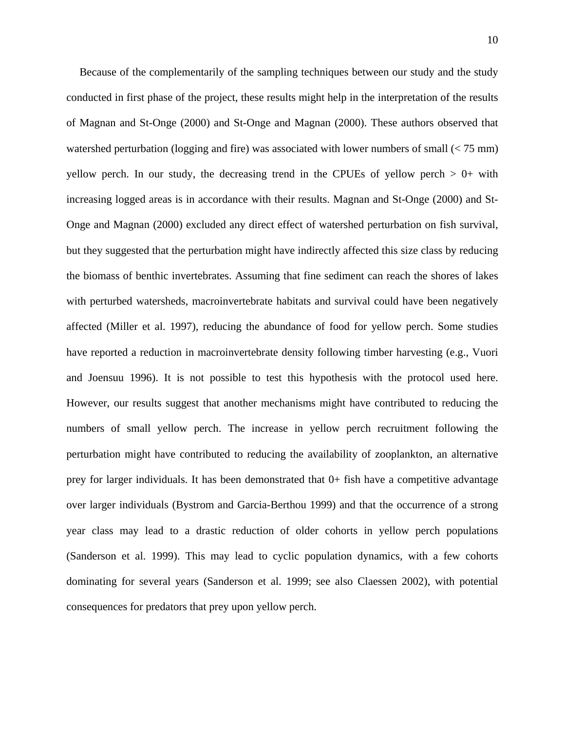Because of the complementarily of the sampling techniques between our study and the study conducted in first phase of the project, these results might help in the interpretation of the results of Magnan and St-Onge (2000) and St-Onge and Magnan (2000). These authors observed that watershed perturbation (logging and fire) was associated with lower numbers of small  $\leq 75$  mm) yellow perch. In our study, the decreasing trend in the CPUEs of yellow perch  $> 0+$  with increasing logged areas is in accordance with their results. Magnan and St-Onge (2000) and St-Onge and Magnan (2000) excluded any direct effect of watershed perturbation on fish survival, but they suggested that the perturbation might have indirectly affected this size class by reducing the biomass of benthic invertebrates. Assuming that fine sediment can reach the shores of lakes with perturbed watersheds, macroinvertebrate habitats and survival could have been negatively affected (Miller et al. 1997), reducing the abundance of food for yellow perch. Some studies have reported a reduction in macroinvertebrate density following timber harvesting (e.g., Vuori and Joensuu 1996). It is not possible to test this hypothesis with the protocol used here. However, our results suggest that another mechanisms might have contributed to reducing the numbers of small yellow perch. The increase in yellow perch recruitment following the perturbation might have contributed to reducing the availability of zooplankton, an alternative prey for larger individuals. It has been demonstrated that 0+ fish have a competitive advantage over larger individuals (Bystrom and Garcia-Berthou 1999) and that the occurrence of a strong year class may lead to a drastic reduction of older cohorts in yellow perch populations (Sanderson et al. 1999). This may lead to cyclic population dynamics, with a few cohorts dominating for several years (Sanderson et al. 1999; see also Claessen 2002), with potential consequences for predators that prey upon yellow perch.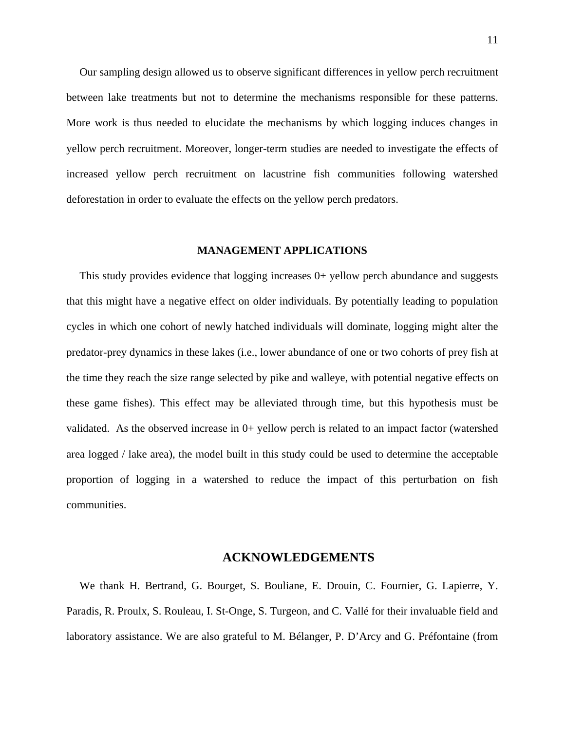Our sampling design allowed us to observe significant differences in yellow perch recruitment between lake treatments but not to determine the mechanisms responsible for these patterns. More work is thus needed to elucidate the mechanisms by which logging induces changes in yellow perch recruitment. Moreover, longer-term studies are needed to investigate the effects of increased yellow perch recruitment on lacustrine fish communities following watershed deforestation in order to evaluate the effects on the yellow perch predators.

#### **MANAGEMENT APPLICATIONS**

This study provides evidence that logging increases 0+ yellow perch abundance and suggests that this might have a negative effect on older individuals. By potentially leading to population cycles in which one cohort of newly hatched individuals will dominate, logging might alter the predator-prey dynamics in these lakes (i.e., lower abundance of one or two cohorts of prey fish at the time they reach the size range selected by pike and walleye, with potential negative effects on these game fishes). This effect may be alleviated through time, but this hypothesis must be validated. As the observed increase in 0+ yellow perch is related to an impact factor (watershed area logged / lake area), the model built in this study could be used to determine the acceptable proportion of logging in a watershed to reduce the impact of this perturbation on fish communities.

#### **ACKNOWLEDGEMENTS**

We thank H. Bertrand, G. Bourget, S. Bouliane, E. Drouin, C. Fournier, G. Lapierre, Y. Paradis, R. Proulx, S. Rouleau, I. St-Onge, S. Turgeon, and C. Vallé for their invaluable field and laboratory assistance. We are also grateful to M. Bélanger, P. D'Arcy and G. Préfontaine (from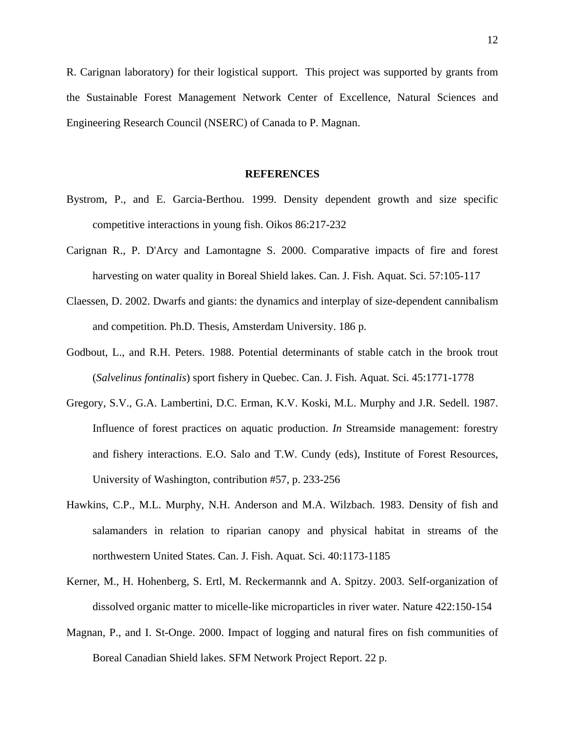R. Carignan laboratory) for their logistical support. This project was supported by grants from the Sustainable Forest Management Network Center of Excellence, Natural Sciences and Engineering Research Council (NSERC) of Canada to P. Magnan.

#### **REFERENCES**

- Bystrom, P., and E. Garcia-Berthou. 1999. Density dependent growth and size specific competitive interactions in young fish. Oikos 86:217-232
- Carignan R., P. D'Arcy and Lamontagne S. 2000. Comparative impacts of fire and forest harvesting on water quality in Boreal Shield lakes. Can. J. Fish. Aquat. Sci. 57:105-117
- Claessen, D. 2002. Dwarfs and giants: the dynamics and interplay of size-dependent cannibalism and competition. Ph.D. Thesis, Amsterdam University. 186 p.
- Godbout, L., and R.H. Peters. 1988. Potential determinants of stable catch in the brook trout (*Salvelinus fontinalis*) sport fishery in Quebec. Can. J. Fish. Aquat. Sci. 45:1771-1778
- Gregory, S.V., G.A. Lambertini, D.C. Erman, K.V. Koski, M.L. Murphy and J.R. Sedell. 1987. Influence of forest practices on aquatic production. *In* Streamside management: forestry and fishery interactions. E.O. Salo and T.W. Cundy (eds), Institute of Forest Resources, University of Washington, contribution #57, p. 233-256
- Hawkins, C.P., M.L. Murphy, N.H. Anderson and M.A. Wilzbach. 1983. Density of fish and salamanders in relation to riparian canopy and physical habitat in streams of the northwestern United States. Can. J. Fish. Aquat. Sci. 40:1173-1185
- Kerner, M., H. Hohenberg, S. Ertl, M. Reckermannk and A. Spitzy. 2003. Self-organization of dissolved organic matter to micelle-like microparticles in river water. Nature 422:150-154
- Magnan, P., and I. St-Onge. 2000. Impact of logging and natural fires on fish communities of Boreal Canadian Shield lakes. SFM Network Project Report. 22 p.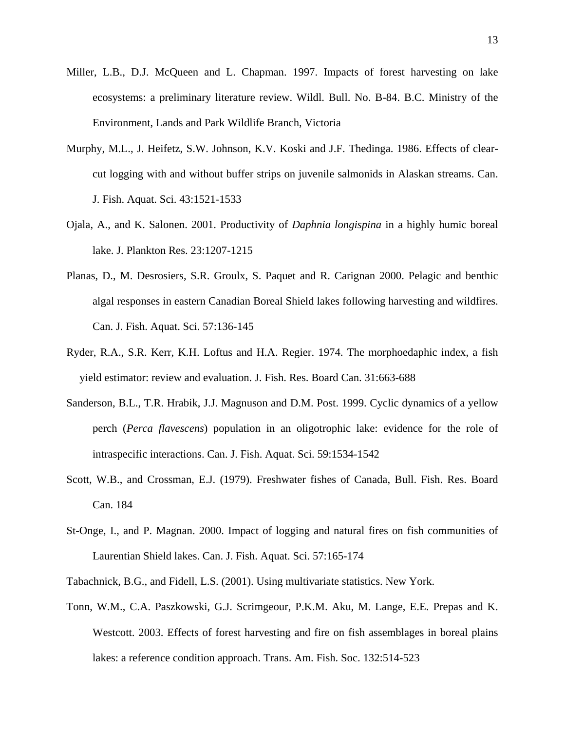- Miller, L.B., D.J. McQueen and L. Chapman. 1997. Impacts of forest harvesting on lake ecosystems: a preliminary literature review. Wildl. Bull. No. B-84. B.C. Ministry of the Environment, Lands and Park Wildlife Branch, Victoria
- Murphy, M.L., J. Heifetz, S.W. Johnson, K.V. Koski and J.F. Thedinga. 1986. Effects of clearcut logging with and without buffer strips on juvenile salmonids in Alaskan streams. Can. J. Fish. Aquat. Sci. 43:1521-1533
- Ojala, A., and K. Salonen. 2001. Productivity of *Daphnia longispina* in a highly humic boreal lake. J. Plankton Res. 23:1207-1215
- Planas, D., M. Desrosiers, S.R. Groulx, S. Paquet and R. Carignan 2000. Pelagic and benthic algal responses in eastern Canadian Boreal Shield lakes following harvesting and wildfires. Can. J. Fish. Aquat. Sci. 57:136-145
- Ryder, R.A., S.R. Kerr, K.H. Loftus and H.A. Regier. 1974. The morphoedaphic index, a fish yield estimator: review and evaluation. J. Fish. Res. Board Can. 31:663-688
- Sanderson, B.L., T.R. Hrabik, J.J. Magnuson and D.M. Post. 1999. Cyclic dynamics of a yellow perch (*Perca flavescens*) population in an oligotrophic lake: evidence for the role of intraspecific interactions. Can. J. Fish. Aquat. Sci. 59:1534-1542
- Scott, W.B., and Crossman, E.J. (1979). Freshwater fishes of Canada, Bull. Fish. Res. Board Can. 184
- St-Onge, I., and P. Magnan. 2000. Impact of logging and natural fires on fish communities of Laurentian Shield lakes. Can. J. Fish. Aquat. Sci. 57:165-174
- Tabachnick, B.G., and Fidell, L.S. (2001). Using multivariate statistics. New York.
- Tonn, W.M., C.A. Paszkowski, G.J. Scrimgeour, P.K.M. Aku, M. Lange, E.E. Prepas and K. Westcott. 2003. Effects of forest harvesting and fire on fish assemblages in boreal plains lakes: a reference condition approach. Trans. Am. Fish. Soc. 132:514-523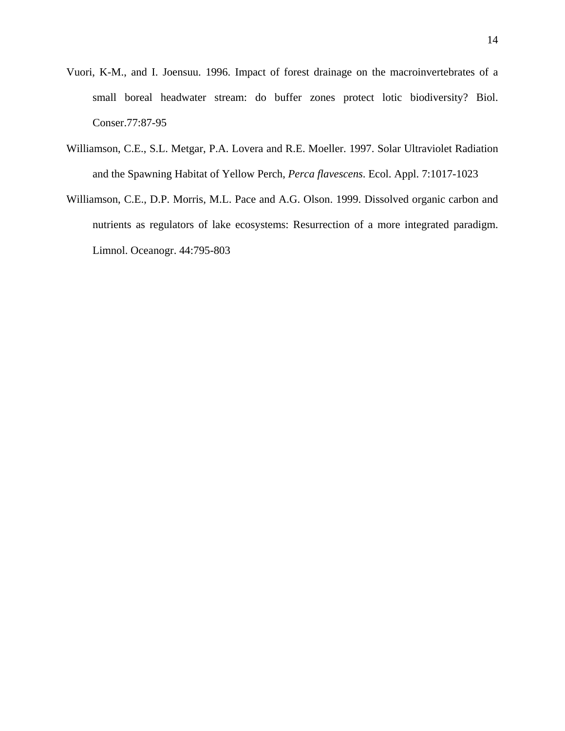- Vuori, K-M., and I. Joensuu. 1996. Impact of forest drainage on the macroinvertebrates of a small boreal headwater stream: do buffer zones protect lotic biodiversity? Biol. Conser.77:87-95
- Williamson, C.E., S.L. Metgar, P.A. Lovera and R.E. Moeller. 1997. Solar Ultraviolet Radiation and the Spawning Habitat of Yellow Perch, *Perca flavescens*. Ecol. Appl. 7:1017-1023
- Williamson, C.E., D.P. Morris, M.L. Pace and A.G. Olson. 1999. Dissolved organic carbon and nutrients as regulators of lake ecosystems: Resurrection of a more integrated paradigm. Limnol. Oceanogr. 44:795-803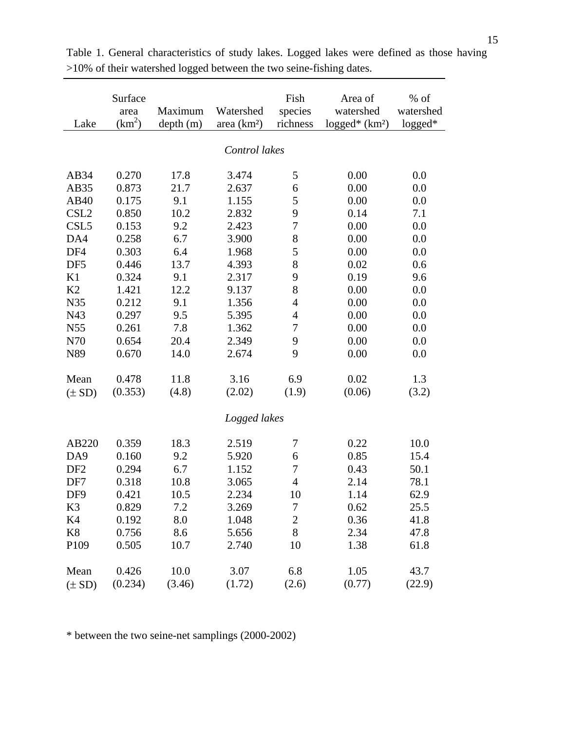|                  | Surface       |          |              | Fish             | Area of                      | $%$ of    |  |  |
|------------------|---------------|----------|--------------|------------------|------------------------------|-----------|--|--|
|                  | area          | Maximum  | Watershed    | species          | watershed                    | watershed |  |  |
| Lake             | $(km^2)$      | depth(m) | area $(km2)$ | richness         | $logged*$ (km <sup>2</sup> ) | $logged*$ |  |  |
|                  | Control lakes |          |              |                  |                              |           |  |  |
|                  |               |          |              |                  |                              |           |  |  |
| AB34             | 0.270         | 17.8     | 3.474        | 5                | 0.00                         | 0.0       |  |  |
| AB35             | 0.873         | 21.7     | 2.637        | 6                | 0.00                         | 0.0       |  |  |
| AB40             | 0.175         | 9.1      | 1.155        | 5                | 0.00                         | 0.0       |  |  |
| CSL <sub>2</sub> | 0.850         | 10.2     | 2.832        | 9                | 0.14                         | 7.1       |  |  |
| CSL <sub>5</sub> | 0.153         | 9.2      | 2.423        | $\overline{7}$   | 0.00                         | 0.0       |  |  |
| DA4              | 0.258         | 6.7      | 3.900        | 8                | 0.00                         | 0.0       |  |  |
| DF4              | 0.303         | 6.4      | 1.968        | 5                | 0.00                         | 0.0       |  |  |
| DF <sub>5</sub>  | 0.446         | 13.7     | 4.393        | 8                | 0.02                         | 0.6       |  |  |
| K1               | 0.324         | 9.1      | 2.317        | 9                | 0.19                         | 9.6       |  |  |
| K2               | 1.421         | 12.2     | 9.137        | 8                | 0.00                         | 0.0       |  |  |
| N35              | 0.212         | 9.1      | 1.356        | 4                | 0.00                         | 0.0       |  |  |
| N43              | 0.297         | 9.5      | 5.395        | $\overline{4}$   | 0.00                         | 0.0       |  |  |
| N55              | 0.261         | 7.8      | 1.362        | 7                | 0.00                         | 0.0       |  |  |
| N70              | 0.654         | 20.4     | 2.349        | 9                | 0.00                         | 0.0       |  |  |
| N89              | 0.670         | 14.0     | 2.674        | 9                | 0.00                         | 0.0       |  |  |
| Mean             | 0.478         | 11.8     | 3.16         | 6.9              | 0.02                         | 1.3       |  |  |
| $(\pm SD)$       | (0.353)       | (4.8)    | (2.02)       | (1.9)            | (0.06)                       | (3.2)     |  |  |
|                  |               |          | Logged lakes |                  |                              |           |  |  |
|                  |               |          |              |                  |                              |           |  |  |
| AB220            | 0.359         | 18.3     | 2.519        | 7                | 0.22                         | 10.0      |  |  |
| DA9              | 0.160         | 9.2      | 5.920        | 6                | 0.85                         | 15.4      |  |  |
| DF <sub>2</sub>  | 0.294         | 6.7      | 1.152        | $\boldsymbol{7}$ | 0.43                         | 50.1      |  |  |
| DF7              | 0.318         | 10.8     | 3.065        | $\overline{4}$   | 2.14                         | 78.1      |  |  |
| DF9              | 0.421         | 10.5     | 2.234        | 10               | 1.14                         | 62.9      |  |  |
| K3               | 0.829         | 7.2      | 3.269        | 7                | 0.62                         | 25.5      |  |  |
| K <sub>4</sub>   | 0.192         | 8.0      | 1.048        | $\overline{2}$   | 0.36                         | 41.8      |  |  |
| K <sup>8</sup>   | 0.756         | 8.6      | 5.656        | 8                | 2.34                         | 47.8      |  |  |
| P109             | 0.505         | 10.7     | 2.740        | 10               | 1.38                         | 61.8      |  |  |
| Mean             | 0.426         | 10.0     | 3.07         | 6.8              | 1.05                         | 43.7      |  |  |
| $(\pm SD)$       | (0.234)       | (3.46)   | (1.72)       | (2.6)            | (0.77)                       | (22.9)    |  |  |

Table 1. General characteristics of study lakes. Logged lakes were defined as those having >10% of their watershed logged between the two seine-fishing dates.

\* between the two seine-net samplings (2000-2002)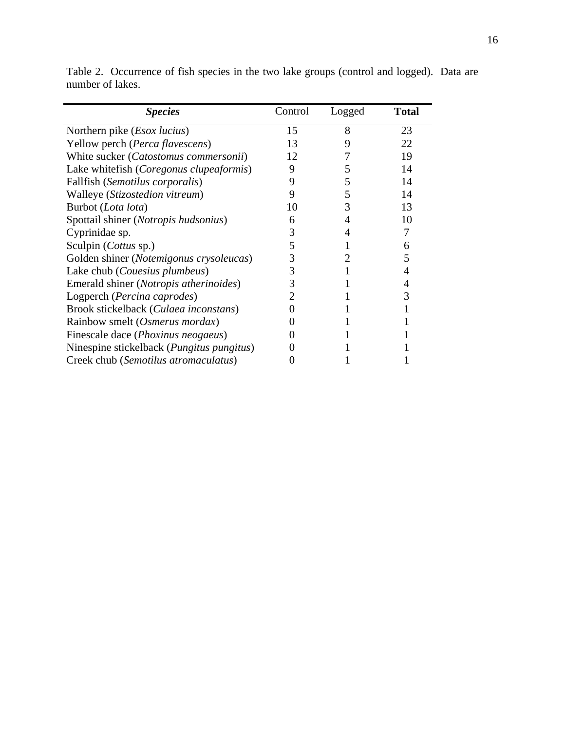| <b>Species</b>                                     | Control | Logged | <b>Total</b> |
|----------------------------------------------------|---------|--------|--------------|
| Northern pike ( <i>Esox lucius</i> )               | 15      | 8      | 23           |
| Yellow perch (Perca flavescens)                    | 13      | 9      | 22           |
| White sucker (Catostomus commersonii)              | 12      |        | 19           |
| Lake whitefish (Coregonus clupeaformis)            | 9       | 5      | 14           |
| Fallfish (Semotilus corporalis)                    | 9       | 5      | 14           |
| Walleye (Stizostedion vitreum)                     | 9       | 5      | 14           |
| Burbot (Lota lota)                                 | 10      | 3      | 13           |
| Spottail shiner (Notropis hudsonius)               | 6       | 4      | 10           |
| Cyprinidae sp.                                     | 3       |        |              |
| Sculpin (Cottus sp.)                               | 5       |        | 6            |
| Golden shiner (Notemigonus crysoleucas)            | 3       |        | 5            |
| Lake chub ( <i>Couesius plumbeus</i> )             | 3       |        | 4            |
| Emerald shiner ( <i>Notropis atherinoides</i> )    | 3       |        | 4            |
| Logperch (Percina caprodes)                        |         |        | 3            |
| Brook stickelback (Culaea inconstans)              |         |        |              |
| Rainbow smelt (Osmerus mordax)                     |         |        |              |
| Finescale dace ( <i>Phoxinus neogaeus</i> )        |         |        |              |
| Ninespine stickelback ( <i>Pungitus pungitus</i> ) |         |        |              |
| Creek chub (Semotilus atromaculatus)               |         |        |              |

Table 2. Occurrence of fish species in the two lake groups (control and logged). Data are number of lakes.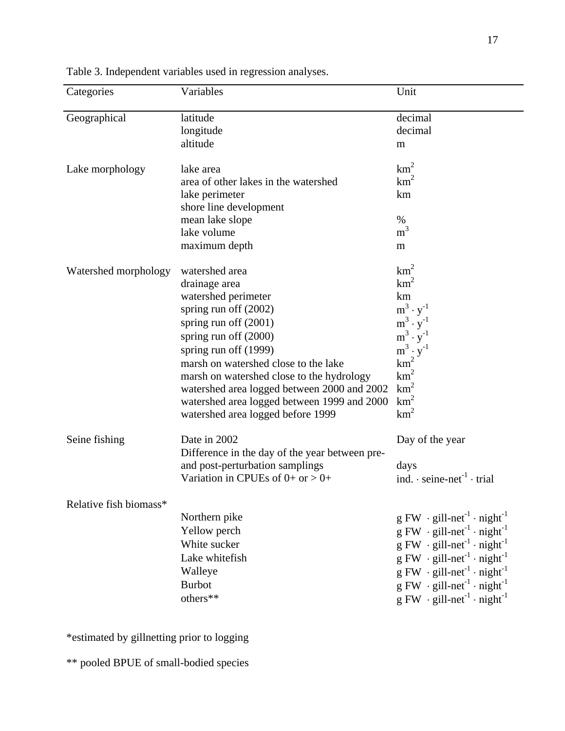| Categories             | Variables                                                                                                                                                                                                                                                                                                                                                                              | Unit                                                                                                                                                                                                                                                                                                                                                                                                                                                                                            |
|------------------------|----------------------------------------------------------------------------------------------------------------------------------------------------------------------------------------------------------------------------------------------------------------------------------------------------------------------------------------------------------------------------------------|-------------------------------------------------------------------------------------------------------------------------------------------------------------------------------------------------------------------------------------------------------------------------------------------------------------------------------------------------------------------------------------------------------------------------------------------------------------------------------------------------|
| Geographical           | latitude<br>longitude<br>altitude                                                                                                                                                                                                                                                                                                                                                      | decimal<br>decimal<br>m                                                                                                                                                                                                                                                                                                                                                                                                                                                                         |
| Lake morphology        | lake area<br>area of other lakes in the watershed<br>lake perimeter<br>shore line development<br>mean lake slope<br>lake volume<br>maximum depth                                                                                                                                                                                                                                       | km <sup>2</sup><br>km <sup>2</sup><br>km<br>$\%$<br>m <sup>3</sup><br>m                                                                                                                                                                                                                                                                                                                                                                                                                         |
| Watershed morphology   | watershed area<br>drainage area<br>watershed perimeter<br>spring run off $(2002)$<br>spring run off $(2001)$<br>spring run off (2000)<br>spring run off (1999)<br>marsh on watershed close to the lake<br>marsh on watershed close to the hydrology<br>watershed area logged between 2000 and 2002<br>watershed area logged between 1999 and 2000<br>watershed area logged before 1999 | km <sup>2</sup><br>$km^2$<br>km<br>$m^3 \cdot y^{-1}$<br>$m^3 \cdot y^{-1}$<br>$m^3 \cdot y^{-1}$<br>$m^3 \cdot y^{-1}$<br>$km^2$<br>$km^2$<br>$km^2$<br>km <sup>2</sup><br>km <sup>2</sup>                                                                                                                                                                                                                                                                                                     |
| Seine fishing          | Date in 2002<br>Difference in the day of the year between pre-<br>and post-perturbation samplings<br>Variation in CPUEs of $0+$ or $> 0+$                                                                                                                                                                                                                                              | Day of the year<br>days<br>ind. $\cdot$ seine-net <sup>-1</sup> $\cdot$ trial                                                                                                                                                                                                                                                                                                                                                                                                                   |
| Relative fish biomass* | Northern pike<br>Yellow perch<br>White sucker<br>Lake whitefish<br>Walleye<br><b>Burbot</b><br>others**                                                                                                                                                                                                                                                                                | $g$ FW $\cdot$ gill-net <sup>-1</sup> $\cdot$ night <sup>-1</sup><br>$g$ FW $\cdot$ gill-net <sup>-1</sup> $\cdot$ night <sup>-1</sup><br>$g$ FW $\cdot$ gill-net <sup>-1</sup> $\cdot$ night <sup>-1</sup><br>$g$ FW $\cdot$ gill-net <sup>-1</sup> $\cdot$ night <sup>-1</sup><br>$g$ FW $\cdot$ gill-net <sup>-1</sup> $\cdot$ night <sup>-1</sup><br>$g$ FW $\cdot$ gill-net <sup>-1</sup> $\cdot$ night <sup>-1</sup><br>$g$ FW $\cdot$ gill-net <sup>-1</sup> $\cdot$ night <sup>-1</sup> |

Table 3. Independent variables used in regression analyses.

\*estimated by gillnetting prior to logging

\*\* pooled BPUE of small-bodied species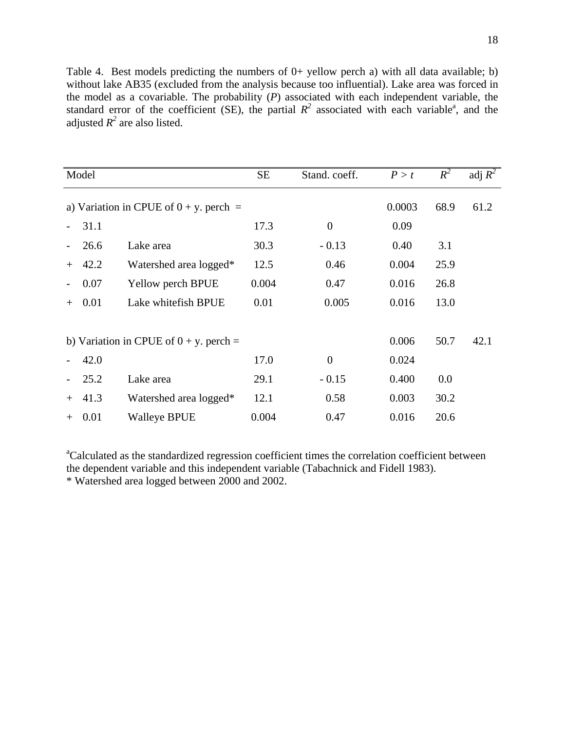Table 4. Best models predicting the numbers of 0+ yellow perch a) with all data available; b) without lake AB35 (excluded from the analysis because too influential). Lake area was forced in the model as a covariable. The probability (*P*) associated with each independent variable, the standard error of the coefficient (SE), the partial  $R^2$  associated with each variable<sup>a</sup>, and the adjusted  $R^2$  are also listed.

| Model                                     |          |                        | <b>SE</b> | Stand. coeff.  | P > t  | $R^2$ | adj $R^2$ |
|-------------------------------------------|----------|------------------------|-----------|----------------|--------|-------|-----------|
| a) Variation in CPUE of $0 + y$ , perch = |          |                        |           |                | 0.0003 | 68.9  | 61.2      |
|                                           | 31.1     |                        | 17.3      | $\theta$       | 0.09   |       |           |
|                                           | 26.6     | Lake area              | 30.3      | $-0.13$        | 0.40   | 3.1   |           |
| $+$                                       | 42.2     | Watershed area logged* | 12.5      | 0.46           | 0.004  | 25.9  |           |
| $\overline{\phantom{a}}$                  | 0.07     | Yellow perch BPUE      | 0.004     | 0.47           | 0.016  | 26.8  |           |
| $^{+}$                                    | 0.01     | Lake whitefish BPUE    | 0.01      | 0.005          | 0.016  | 13.0  |           |
|                                           |          |                        |           |                |        |       |           |
| b) Variation in CPUE of $0 + y$ , perch = |          |                        |           |                | 0.006  | 50.7  | 42.1      |
|                                           | 42.0     |                        | 17.0      | $\overline{0}$ | 0.024  |       |           |
|                                           | 25.2     | Lake area              | 29.1      | $-0.15$        | 0.400  | 0.0   |           |
| $+$                                       | 41.3     | Watershed area logged* | 12.1      | 0.58           | 0.003  | 30.2  |           |
|                                           | $+ 0.01$ | <b>Walleye BPUE</b>    | 0.004     | 0.47           | 0.016  | 20.6  |           |

<sup>a</sup>Calculated as the standardized regression coefficient times the correlation coefficient between the dependent variable and this independent variable (Tabachnick and Fidell 1983). \* Watershed area logged between 2000 and 2002.